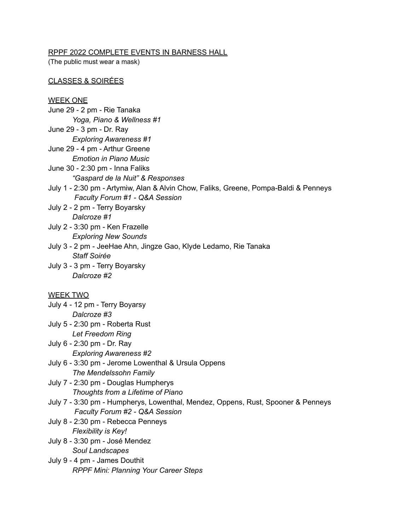### RPPF 2022 COMPLETE EVENTS IN BARNESS HALL

(The public must wear a mask)

# CLASSES & SOIRÉES

## WEEK ONE

- June 29 2 pm Rie Tanaka *Yoga, Piano & Wellness #1*
- June 29 3 pm Dr. Ray *Exploring Awareness #1*
- June 29 4 pm Arthur Greene
- *Emotion in Piano Music*
- June 30 2:30 pm Inna Faliks *"Gaspard de la Nuit" & Responses*
- July 1 2:30 pm Artymiw, Alan & Alvin Chow, Faliks, Greene, Pompa-Baldi & Penneys *Faculty Forum #1 - Q&A Session*
- July 2 2 pm Terry Boyarsky *Dalcroze #1*
- July 2 3:30 pm Ken Frazelle *Exploring New Sounds*
- July 3 2 pm JeeHae Ahn, Jingze Gao, Klyde Ledamo, Rie Tanaka *Staff Soirée*
- July 3 3 pm Terry Boyarsky *Dalcroze #2*

# WEEK TWO

- July 4 12 pm Terry Boyarsy *Dalcroze #3*
- July 5 2:30 pm Roberta Rust *Let Freedom Ring*
- July 6 2:30 pm Dr. Ray *Exploring Awareness #2*
- July 6 3:30 pm Jerome Lowenthal & Ursula Oppens *The Mendelssohn Family*
- July 7 2:30 pm Douglas Humpherys *Thoughts from a Lifetime of Piano*
- July 7 3:30 pm Humpherys, Lowenthal, Mendez, Oppens, Rust, Spooner & Penneys *Faculty Forum #2 - Q&A Session*
- July 8 2:30 pm Rebecca Penneys *Flexibility is Key!*
- July 8 3:30 pm José Mendez *Soul Landscapes*
- July 9 4 pm James Douthit *RPPF Mini: Planning Your Career Steps*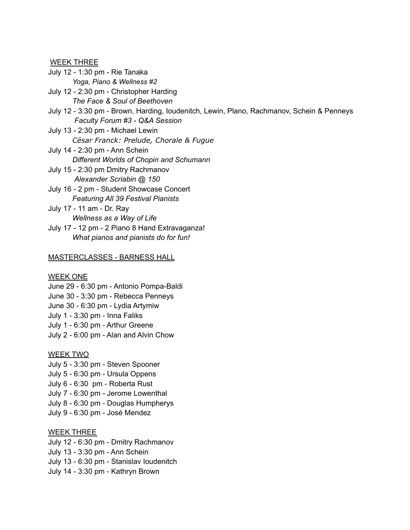WEEK THREE

July 12 - 1:30 pm - Rie Tanaka *Yoga, Piano & Wellness #2*

July 12 - 2:30 pm - Christopher Harding *The Face & Soul of Beethoven*

July 12 - 3:30 pm - Brown, Harding, Ioudenitch, Lewin, Plano, Rachmanov, Schein & Penneys *Faculty Forum #3 - Q&A Session*

July 13 - 2:30 pm - Michael Lewin *César Franck: Prelude, Chorale & Fugue* July 14 - 2:30 pm - Ann Schein

*Different Worlds of Chopin and Schumann*

July 15 - 2:30 pm Dmitry Rachmanov *Alexander Scriabin @ 150*

July 16 - 2 pm - Student Showcase Concert *Featuring All 39 Festival Pianists*

July 17 - 11 am - Dr. Ray *Wellness as a Way of Life*

July 17 - 12 pm - 2 Piano 8 Hand Extravaganza! *What pianos and pianists do for fun!*

### MASTERCLASSES - BARNESS HALL

#### WEEK ONE

June 29 - 6:30 pm - Antonio Pompa-Baldi June 30 - 3:30 pm - Rebecca Penneys June 30 - 6:30 pm - Lydia Artymiw July 1 - 3:30 pm - Inna Faliks July 1 - 6:30 pm - Arthur Greene July 2 - 6:00 pm - Alan and Alvin Chow

#### WEEK TWO

- July 5 3:30 pm Steven Spooner July 5 - 6:30 pm - Ursula Oppens July 6 - 6:30 pm - Roberta Rust July 7 - 6:30 pm - Jerome Lowenthal
- July 8 6:30 pm Douglas Humpherys
- July 9 6:30 pm José Mendez

#### WEEK THREE

July 12 - 6:30 pm - Dmitry Rachmanov

July 13 - 3:30 pm - Ann Schein

July 13 - 6:30 pm - Stanislav Ioudenitch

July 14 - 3:30 pm - Kathryn Brown